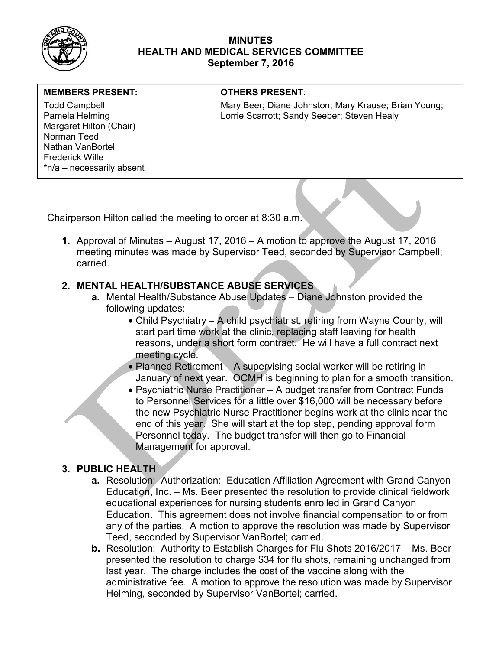

## MINUTES HEALTH AND MEDICAL SERVICES COMMITTEE September 7, 2016

#### MEMBERS PRESENT: **The OTHERS PRESENT:**

Margaret Hilton (Chair) Norman Teed Nathan VanBortel Frederick Wille \*n/a – necessarily absent

Todd Campbell **Mary Beer; Diane Johnston; Mary Krause**; Brian Young; Mary Krause; Brian Young; Pamela Helming **Lorrie Scarrott**; Sandy Seeber; Steven Healy

Chairperson Hilton called the meeting to order at 8:30 a.m.

1. Approval of Minutes – August 17, 2016 – A motion to approve the August 17, 2016 meeting minutes was made by Supervisor Teed, seconded by Supervisor Campbell; carried.

# 2. MENTAL HEALTH/SUBSTANCE ABUSE SERVICES

- a. Mental Health/Substance Abuse Updates Diane Johnston provided the following updates:
	- Child Psychiatry A child psychiatrist, retiring from Wayne County, will start part time work at the clinic, replacing staff leaving for health reasons, under a short form contract. He will have a full contract next meeting cycle.
	- Planned Retirement A supervising social worker will be retiring in January of next year. OCMH is beginning to plan for a smooth transition.
	- Psychiatric Nurse Practitioner A budget transfer from Contract Funds to Personnel Services for a little over \$16,000 will be necessary before the new Psychiatric Nurse Practitioner begins work at the clinic near the end of this year. She will start at the top step, pending approval form Personnel today. The budget transfer will then go to Financial Management for approval.

## 3. PUBLIC HEALTH

- a. Resolution: Authorization: Education Affiliation Agreement with Grand Canyon Education, Inc. – Ms. Beer presented the resolution to provide clinical fieldwork educational experiences for nursing students enrolled in Grand Canyon Education. This agreement does not involve financial compensation to or from any of the parties. A motion to approve the resolution was made by Supervisor Teed, seconded by Supervisor VanBortel; carried.
- b. Resolution: Authority to Establish Charges for Flu Shots 2016/2017 Ms. Beer presented the resolution to charge \$34 for flu shots, remaining unchanged from last year. The charge includes the cost of the vaccine along with the administrative fee. A motion to approve the resolution was made by Supervisor Helming, seconded by Supervisor VanBortel; carried.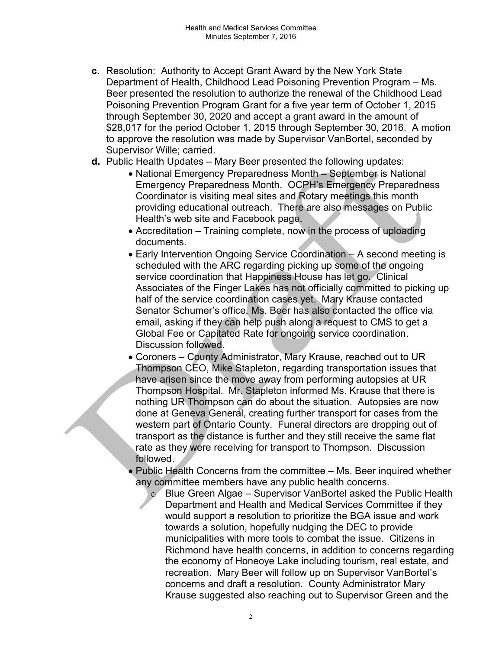- c. Resolution: Authority to Accept Grant Award by the New York State Department of Health, Childhood Lead Poisoning Prevention Program – Ms. Beer presented the resolution to authorize the renewal of the Childhood Lead Poisoning Prevention Program Grant for a five year term of October 1, 2015 through September 30, 2020 and accept a grant award in the amount of \$28,017 for the period October 1, 2015 through September 30, 2016. A motion to approve the resolution was made by Supervisor VanBortel, seconded by Supervisor Wille; carried.
- d. Public Health Updates Mary Beer presented the following updates:
	- National Emergency Preparedness Month September is National Emergency Preparedness Month. OCPH's Emergency Preparedness Coordinator is visiting meal sites and Rotary meetings this month providing educational outreach. There are also messages on Public Health's web site and Facebook page.
	- Accreditation Training complete, now in the process of uploading documents.
	- Early Intervention Ongoing Service Coordination A second meeting is scheduled with the ARC regarding picking up some of the ongoing service coordination that Happiness House has let go. Clinical Associates of the Finger Lakes has not officially committed to picking up half of the service coordination cases yet. Mary Krause contacted Senator Schumer's office, Ms. Beer has also contacted the office via email, asking if they can help push along a request to CMS to get a Global Fee or Capitated Rate for ongoing service coordination. Discussion followed.
	- Coroners County Administrator, Mary Krause, reached out to UR Thompson CEO, Mike Stapleton, regarding transportation issues that have arisen since the move away from performing autopsies at UR Thompson Hospital. Mr. Stapleton informed Ms. Krause that there is nothing UR Thompson can do about the situation. Autopsies are now done at Geneva General, creating further transport for cases from the western part of Ontario County. Funeral directors are dropping out of transport as the distance is further and they still receive the same flat rate as they were receiving for transport to Thompson. Discussion followed.
	- Public Health Concerns from the committee Ms. Beer inquired whether any committee members have any public health concerns.
		- $\circ$  Blue Green Algae Supervisor VanBortel asked the Public Health Department and Health and Medical Services Committee if they would support a resolution to prioritize the BGA issue and work towards a solution, hopefully nudging the DEC to provide municipalities with more tools to combat the issue. Citizens in Richmond have health concerns, in addition to concerns regarding the economy of Honeoye Lake including tourism, real estate, and recreation. Mary Beer will follow up on Supervisor VanBortel's concerns and draft a resolution. County Administrator Mary Krause suggested also reaching out to Supervisor Green and the